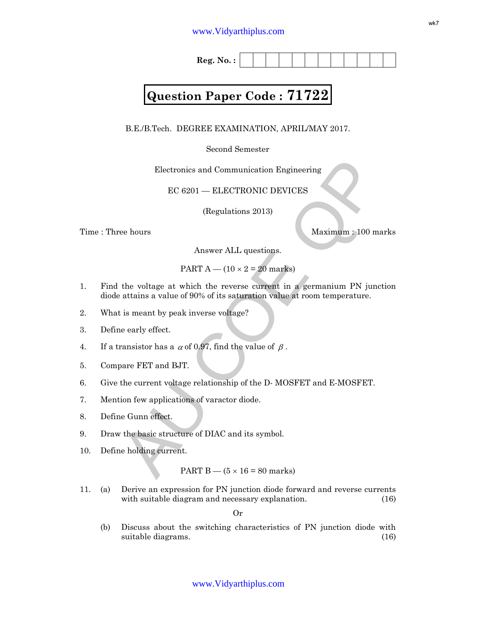**Reg. No. :**

# **Question Paper Code : 71722**

B.E./B.Tech. DEGREE EXAMINATION, APRIL/MAY 2017.

Second Semester

Electronics and Communication Engineering

EC 6201 — ELECTRONIC DEVICES

(Regulations 2013)

Time : Three hours Maximum : 100 marks

Answer ALL questions.

PART  $A - (10 \times 2 = 20$  marks)

- Electronics and Communication Engineering<br>
EC 6201 ELECTRONIC DEVICES<br>
(Regulations 2013)<br>
Naximum : 100 marks<br>
Answer ALL questions.<br>
PART  $A$  (10 × 2 = 20 marks)<br>
the voltage at which the reverse current in a german 1. Find the voltage at which the reverse current in a germanium PN junction diode attains a value of 90% of its saturation value at room temperature.
- 2. What is meant by peak inverse voltage?
- 3. Define early effect.
- 4. If a transistor has a  $\alpha$  of 0.97, find the value of  $\beta$ .
- 5. Compare FET and BJT.
- 6. Give the current voltage relationship of the D- MOSFET and E-MOSFET.
- 7. Mention few applications of varactor diode.
- 8. Define Gunn effect.
- 9. Draw the basic structure of DIAC and its symbol.
- 10. Define holding current.

PART  $B - (5 \times 16 = 80 \text{ marks})$ 

11. (a) Derive an expression for PN junction diode forward and reverse currents with suitable diagram and necessary explanation. (16)

Or

(b) Discuss about the switching characteristics of PN junction diode with suitable diagrams. (16)